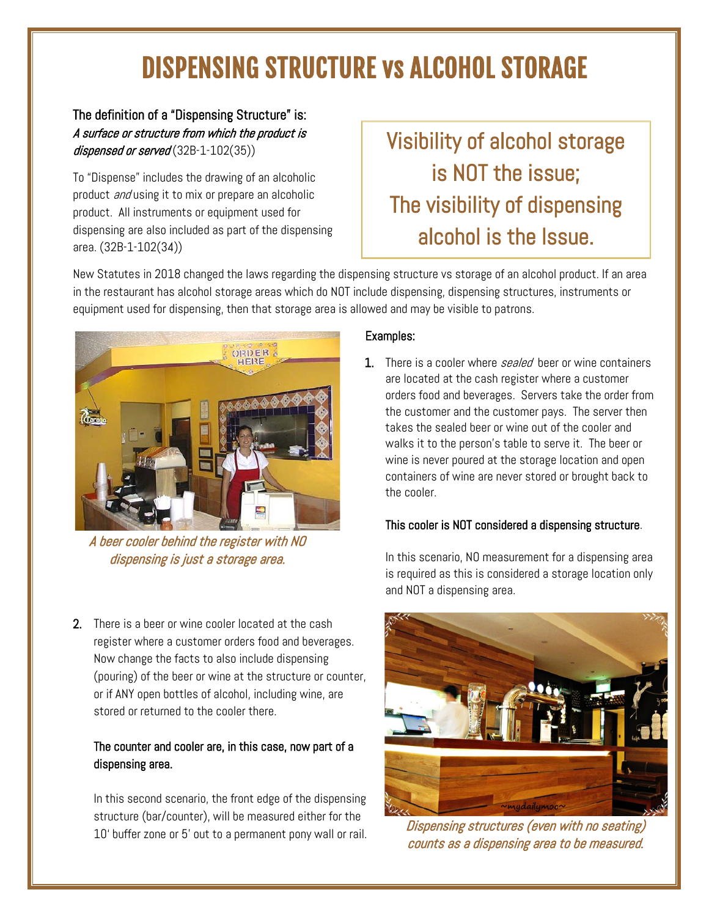# DISPENSING STRUCTURE vs ALCOHOL STORAGE

The definition of a "Dispensing Structure" is: A surface or structure from which the product is dispensed or served  $(32B-1-102(35))$ 

To "Dispense" includes the drawing of an alcoholic product *and* using it to mix or prepare an alcoholic product. All instruments or equipment used for dispensing are also included as part of the dispensing area. (32B-1-102(34))

## Visibility of alcohol storage is NOT the issue; The visibility of dispensing alcohol is the Issue.

New Statutes in 2018 changed the laws regarding the dispensing structure vs storage of an alcohol product. If an area in the restaurant has alcohol storage areas which do NOT include dispensing, dispensing structures, instruments or equipment used for dispensing, then that storage area is allowed and may be visible to patrons.



A beer cooler behind the register with NO dispensing is just a storage area.

2. There is a beer or wine cooler located at the cash register where a customer orders food and beverages. Now change the facts to also include dispensing (pouring) of the beer or wine at the structure or counter, or if ANY open bottles of alcohol, including wine, are stored or returned to the cooler there.

#### The counter and cooler are, in this case, now part of a dispensing area.

In this second scenario, the front edge of the dispensing structure (bar/counter), will be measured either for the Indetair (bar, boards, while modelling of the first referred to a permanent pony wall or rail. *Dispensing structures (even with no seating)* 

#### Examples:

1. There is a cooler where *sealed* beer or wine containers are located at the cash register where a customer orders food and beverages. Servers take the order from the customer and the customer pays. The server then takes the sealed beer or wine out of the cooler and walks it to the person's table to serve it. The beer or wine is never poured at the storage location and open containers of wine are never stored or brought back to the cooler.

### This cooler is NOT considered a dispensing structure.

In this scenario, NO measurement for a dispensing area is required as this is considered a storage location only and NOT a dispensing area.



counts as a dispensing area to be measured.